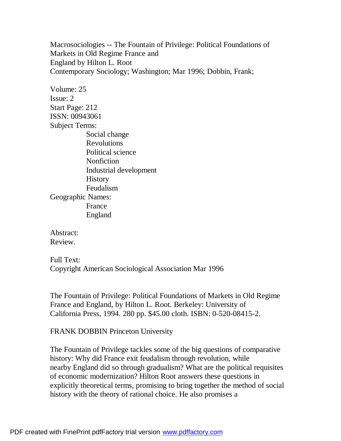Macrosociologies -- The Fountain of Privilege: Political Foundations of Markets in Old Regime France and England by Hilton L. Root Contemporary Sociology; Washington; Mar 1996; Dobbin, Frank;

Volume: 25 Issue: 2 Start Page: 212 ISSN: 00943061 Subject Terms: Social change **Revolutions**  Political science Nonfiction Industrial development **History**  Feudalism Geographic Names: France England

Abstract: Review.

Full Text: Copyright American Sociological Association Mar 1996

The Fountain of Privilege: Political Foundations of Markets in Old Regime France and England, by Hilton L. Root. Berkeley: University of California Press, 1994. 280 pp. \$45.00 cloth. ISBN: 0-520-08415-2.

## FRANK DOBBIN Princeton University

The Fountain of Privilege tackles some of the big questions of comparative history: Why did France exit feudalism through revolution, while nearby England did so through gradualism? What are the political requisites of economic modernization? Hilton Root answers these questions in explicitly theoretical terms, promising to bring together the method of social history with the theory of rational choice. He also promises a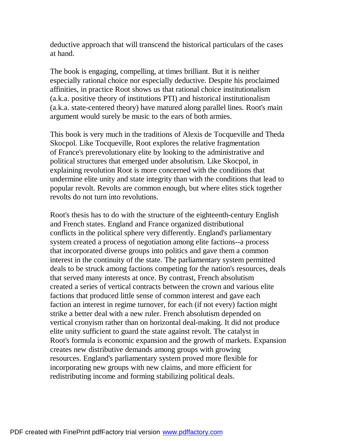deductive approach that will transcend the historical particulars of the cases at hand.

The book is engaging, compelling, at times brilliant. But it is neither especially rational choice nor especially deductive. Despite his proclaimed affinities, in practice Root shows us that rational choice institutionalism (a.k.a. positive theory of institutions PTI) and historical institutionalism (a.k.a. state-centered theory) have matured along parallel lines. Root's main argument would surely be music to the ears of both armies.

This book is very much in the traditions of Alexis de Tocqueville and Theda Skocpol. Like Tocqueville, Root explores the relative fragmentation of France's prerevolutionary elite by looking to the administrative and political structures that emerged under absolutism. Like Skocpol, in explaining revolution Root is more concerned with the conditions that undermine elite unity and state integrity than with the conditions that lead to popular revolt. Revolts are common enough, but where elites stick together revolts do not turn into revolutions.

Root's thesis has to do with the structure of the eighteenth-century English and French states. England and France organized distributional conflicts in the political sphere very differently. England's parliamentary system created a process of negotiation among elite factions--a process that incorporated diverse groups into politics and gave them a common interest in the continuity of the state. The parliamentary system permitted deals to be struck among factions competing for the nation's resources, deals that served many interests at once. By contrast, French absolutism created a series of vertical contracts between the crown and various elite factions that produced little sense of common interest and gave each faction an interest in regime turnover, for each (if not every) faction might strike a better deal with a new ruler. French absolutism depended on vertical cronyism rather than on horizontal deal-making. It did not produce elite unity sufficient to guard the state against revolt. The catalyst in Root's formula is economic expansion and the growth of markets. Expansion creates new distributive demands among groups with growing resources. England's parliamentary system proved more flexible for incorporating new groups with new claims, and more efficient for redistributing income and forming stabilizing political deals.